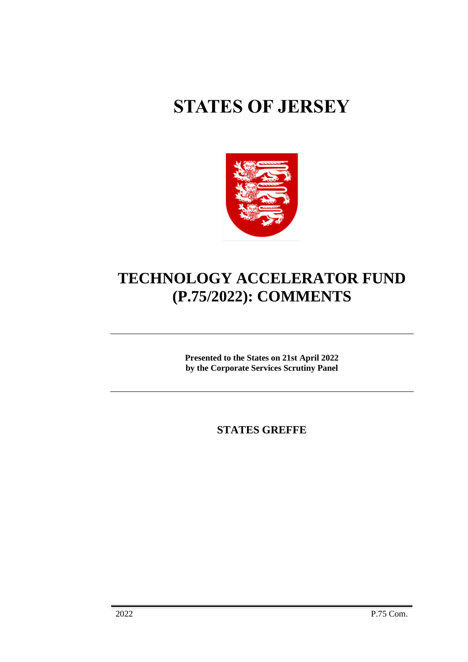# **STATES OF JERSEY**



# **TECHNOLOGY ACCELERATOR FUND (P.75/2022): COMMENTS**

**Presented to the States on 21st April 2022 by the Corporate Services Scrutiny Panel**

**STATES GREFFE**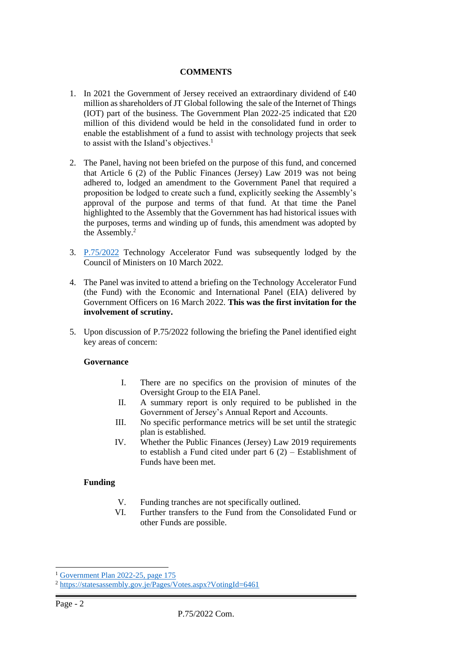## **COMMENTS**

- 1. In 2021 the Government of Jersey received an extraordinary dividend of £40 million as shareholders of JT Global following the sale of the Internet of Things (IOT) part of the business. The Government Plan 2022-25 indicated that £20 million of this dividend would be held in the consolidated fund in order to enable the establishment of a fund to assist with technology projects that seek to assist with the Island's objectives.<sup>1</sup>
- 2. The Panel, having not been briefed on the purpose of this fund, and concerned that Article 6 (2) of the Public Finances (Jersey) Law 2019 was not being adhered to, lodged an amendment to the Government Panel that required a proposition be lodged to create such a fund, explicitly seeking the Assembly's approval of the purpose and terms of that fund. At that time the Panel highlighted to the Assembly that the Government has had historical issues with the purposes, terms and winding up of funds, this amendment was adopted by the Assembly.<sup>2</sup>
- 3. [P.75/2022](https://statesassembly.gov.je/assemblypropositions/2022/p.75-2022.pdf) Technology Accelerator Fund was subsequently lodged by the Council of Ministers on 10 March 2022.
- 4. The Panel was invited to attend a briefing on the Technology Accelerator Fund (the Fund) with the Economic and International Panel (EIA) delivered by Government Officers on 16 March 2022. **This was the first invitation for the involvement of scrutiny.**
- 5. Upon discussion of P.75/2022 following the briefing the Panel identified eight key areas of concern:

#### **Governance**

- I. There are no specifics on the provision of minutes of the Oversight Group to the EIA Panel.
- II. A summary report is only required to be published in the Government of Jersey's Annual Report and Accounts.
- III. No specific performance metrics will be set until the strategic plan is established.
- IV. Whether the Public Finances (Jersey) Law 2019 requirements to establish a Fund cited under part  $6(2)$  – Establishment of Funds have been met.

# **Funding**

- V. Funding tranches are not specifically outlined.
- VI. Further transfers to the Fund from the Consolidated Fund or other Funds are possible.

<sup>&</sup>lt;sup>1</sup> [Government Plan 2022-25, page 175](https://statesassembly.gov.je/assemblypropositions/2021/p.90-2021.pdf#page=200)

<sup>&</sup>lt;sup>2</sup> <https://statesassembly.gov.je/Pages/Votes.aspx?VotingId=6461>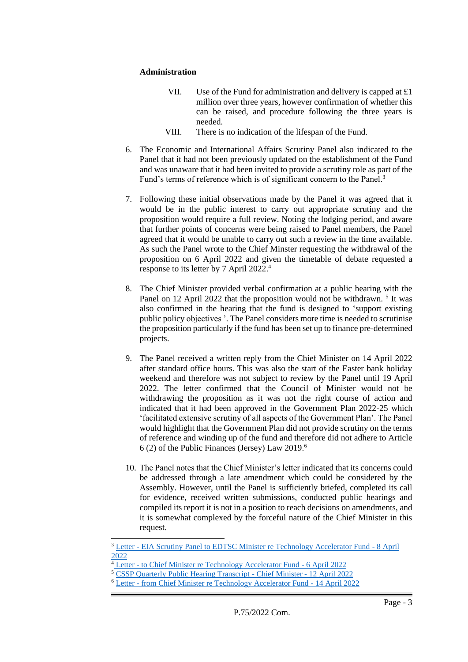## **Administration**

- VII. Use of the Fund for administration and delivery is capped at £1 million over three years, however confirmation of whether this can be raised, and procedure following the three years is needed.
- VIII. There is no indication of the lifespan of the Fund.
- 6. The Economic and International Affairs Scrutiny Panel also indicated to the Panel that it had not been previously updated on the establishment of the Fund and was unaware that it had been invited to provide a scrutiny role as part of the Fund's terms of reference which is of significant concern to the Panel.<sup>3</sup>
- 7. Following these initial observations made by the Panel it was agreed that it would be in the public interest to carry out appropriate scrutiny and the proposition would require a full review. Noting the lodging period, and aware that further points of concerns were being raised to Panel members, the Panel agreed that it would be unable to carry out such a review in the time available. As such the Panel wrote to the Chief Minster requesting the withdrawal of the proposition on 6 April 2022 and given the timetable of debate requested a response to its letter by 7 April 2022. 4
- 8. The Chief Minister provided verbal confirmation at a public hearing with the Panel on 12 April 2022 that the proposition would not be withdrawn.<sup>5</sup> It was also confirmed in the hearing that the fund is designed to 'support existing public policy objectives '. The Panel considers more time is needed to scrutinise the proposition particularly if the fund has been set up to finance pre-determined projects.
- 9. The Panel received a written reply from the Chief Minister on 14 April 2022 after standard office hours. This was also the start of the Easter bank holiday weekend and therefore was not subject to review by the Panel until 19 April 2022. The letter confirmed that the Council of Minister would not be withdrawing the proposition as it was not the right course of action and indicated that it had been approved in the Government Plan 2022-25 which 'facilitated extensive scrutiny of all aspects of the Government Plan'. The Panel would highlight that the Government Plan did not provide scrutiny on the terms of reference and winding up of the fund and therefore did not adhere to Article 6 (2) of the Public Finances (Jersey) Law 2019.<sup>6</sup>
- 10. The Panel notes that the Chief Minister's letter indicated that its concerns could be addressed through a late amendment which could be considered by the Assembly. However, until the Panel is sufficiently briefed, completed its call for evidence, received written submissions, conducted public hearings and compiled its report it is not in a position to reach decisions on amendments, and it is somewhat complexed by the forceful nature of the Chief Minister in this request.

<sup>&</sup>lt;sup>3</sup> Letter - [EIA Scrutiny Panel to EDTSC Minister re Technology Accelerator Fund -](https://statesassembly.gov.je/scrutinyreports/2022/letter%20-%20eia%20scrutiny%20panel%20to%20edtsc%20minister%20re%20technology%20accelerator%20fund%20-%208%20april%202022.pdf) 8 April [2022](https://statesassembly.gov.je/scrutinyreports/2022/letter%20-%20eia%20scrutiny%20panel%20to%20edtsc%20minister%20re%20technology%20accelerator%20fund%20-%208%20april%202022.pdf)

<sup>&</sup>lt;sup>4</sup> Letter - [to Chief Minister re Technology Accelerator Fund -](https://statesassembly.gov.je/scrutinyreports/2022/letter%20-%20to%20chief%20minister%20re%20technology%20accelerator%20fund%20-%206%20april%202022.pdf) 6 April 2022

<sup>5</sup> [CSSP Quarterly Public Hearing Transcript -](https://statesassembly.gov.je/ScrutinyQuarterlyHearingsTranscripts/2022/Transcript%20-%20Quarterly%20Hearing%20with%20the%20Chief%20Minister%20-%2012%20April%202022.pdf) Chief Minister - 12 April 2022

<sup>6</sup> Letter - [from Chief Minister re Technology Accelerator Fund -](https://statesassembly.gov.je/scrutinyreports/2022/letter%20-%20tech%20fund%20-%20chief%20minister%20-%2014%20april%202022.pdf) 14 April 2022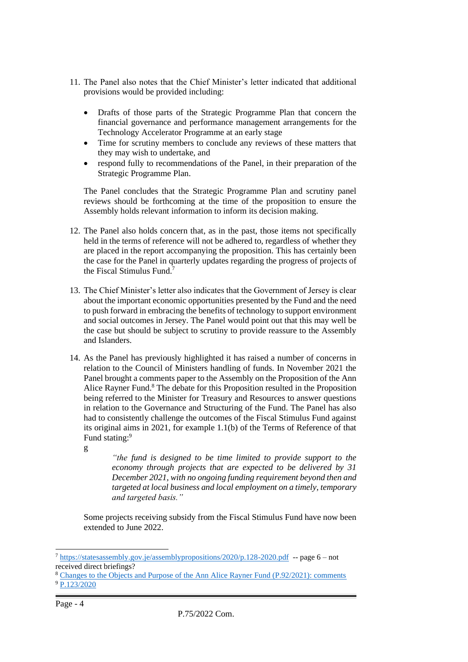- 11. The Panel also notes that the Chief Minister's letter indicated that additional provisions would be provided including:
	- Drafts of those parts of the Strategic Programme Plan that concern the financial governance and performance management arrangements for the Technology Accelerator Programme at an early stage
	- Time for scrutiny members to conclude any reviews of these matters that they may wish to undertake, and
	- respond fully to recommendations of the Panel, in their preparation of the Strategic Programme Plan.

The Panel concludes that the Strategic Programme Plan and scrutiny panel reviews should be forthcoming at the time of the proposition to ensure the Assembly holds relevant information to inform its decision making.

- 12. The Panel also holds concern that, as in the past, those items not specifically held in the terms of reference will not be adhered to, regardless of whether they are placed in the report accompanying the proposition. This has certainly been the case for the Panel in quarterly updates regarding the progress of projects of the Fiscal Stimulus Fund.<sup>7</sup>
- 13. The Chief Minister's letter also indicates that the Government of Jersey is clear about the important economic opportunities presented by the Fund and the need to push forward in embracing the benefits of technology to support environment and social outcomes in Jersey. The Panel would point out that this may well be the case but should be subject to scrutiny to provide reassure to the Assembly and Islanders.
- 14. As the Panel has previously highlighted it has raised a number of concerns in relation to the Council of Ministers handling of funds. In November 2021 the Panel brought a comments paper to the Assembly on the Proposition of the Ann Alice Rayner Fund.<sup>8</sup> The debate for this Proposition resulted in the Proposition being referred to the Minister for Treasury and Resources to answer questions in relation to the Governance and Structuring of the Fund. The Panel has also had to consistently challenge the outcomes of the Fiscal Stimulus Fund against its original aims in 2021, for example 1.1(b) of the Terms of Reference of that Fund stating:<sup>9</sup>
	- g

*"the fund is designed to be time limited to provide support to the economy through projects that are expected to be delivered by 31 December 2021, with no ongoing funding requirement beyond then and targeted at local business and local employment on a timely, temporary and targeted basis."*

Some projects receiving subsidy from the Fiscal Stimulus Fund have now been extended to June 2022.

<sup>7</sup> <https://statesassembly.gov.je/assemblypropositions/2020/p.128-2020.pdf>-- page 6 – not received direct briefings?

<sup>8</sup> [Changes to the Objects and Purpose of the Ann Alice Rayner Fund \(P.92/2021\): comments](https://statesassembly.gov.je/assemblypropositions/2021/p.92-2021%20com.pdf) <sup>9</sup> [P.123/2020](https://statesassembly.gov.je/assemblypropositions/2020/p.128-2020.pdf)